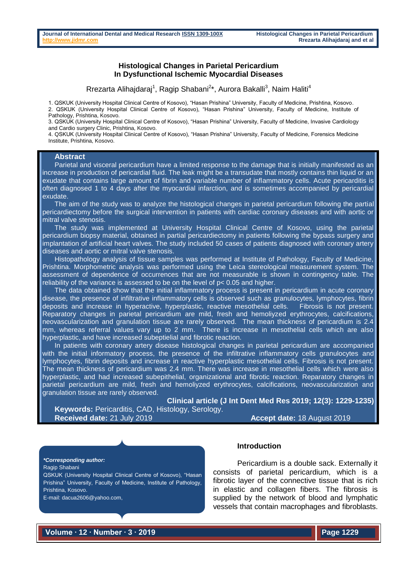#### **Histological Changes in Parietal Pericardium In Dysfunctional Ischemic Myocardial Diseases**

Rrezarta Alihajdaraj<sup>1</sup>, Ragip Shabani<sup>2\*</sup>, Aurora Bakalli<sup>3</sup>, Naim Haliti<sup>4</sup>

1. QSKUK (University Hospital Clinical Centre of Kosovo), "Hasan Prishina" University, Faculty of Medicine, Prishtina, Kosovo. 2. QSKUK (University Hospital Clinical Centre of Kosovo), "Hasan Prishina" University, Faculty of Medicine, Institute of Pathology, Prishtina, Kosovo.

3. QSKUK (University Hospital Clinical Centre of Kosovo), "Hasan Prishina" University, Faculty of Medicine, Invasive Cardiology and Cardio surgery Clinic, Prishtina, Kosovo.

4. QSKUK (University Hospital Clinical Centre of Kosovo), "Hasan Prishina" University, Faculty of Medicine, Forensics Medicine Institute, Prishtina, Kosovo.

### **Abstract**

Parietal and visceral pericardium have a limited response to the damage that is initially manifested as an increase in production of pericardial fluid. The leak might be a transudate that mostly contains thin liquid or an exudate that contains large amount of fibrin and variable number of inflammatory cells. Acute pericarditis is often diagnosed 1 to 4 days after the myocardial infarction, and is sometimes accompanied by pericardial exudate.

The aim of the study was to analyze the histological changes in parietal pericardium following the partial pericardiectomy before the surgical intervention in patients with cardiac coronary diseases and with aortic or mitral valve stenosis.

The study was implemented at University Hospital Clinical Centre of Kosovo, using the parietal pericardium biopsy material, obtained in partial pericardiectomy in patients following the bypass surgery and implantation of artificial heart valves. The study included 50 cases of patients diagnosed with coronary artery diseases and aortic or mitral valve stenosis.

Histopathology analysis of tissue samples was performed at Institute of Pathology, Faculty of Medicine, Prishtina. Morphometric analysis was performed using the Leica stereological measurement system. The assessment of dependence of occurrences that are not measurable is shown in contingency table. The reliability of the variance is assessed to be on the level of p< 0.05 and higher.

The data obtained show that the initial inflammatory process is present in pericardium in acute coronary disease, the presence of infiltrative inflammatory cells is observed such as granulocytes, lymphocytes, fibrin deposits and increase in hyperactive, hyperplastic, reactive mesothelial cells. Fibrosis is not present. Reparatory changes in parietal pericardium are mild, fresh and hemoliyzed erythrocytes, calcifications, neovascularization and granulation tissue are rarely observed. The mean thickness of pericardium is 2.4 mm, whereas referral values vary up to 2 mm. There is increase in mesothelial cells which are also hyperplastic, and have increased subeptielial and fibrotic reaction.

In patients with coronary artery disease histological changes in parietal pericardium are accompanied with the initial informatory process, the presence of the infiltrative inflammatory cells granulocytes and lymphocytes, fibrin deposits and increase in reactive hyperplastic mesothelial cells. Fibrosis is not present. The mean thickness of pericardium was 2.4 mm. There was increase in mesothelial cells which were also hyperplastic, and had increased subepithelial, organizational and fibrotic reaction. Reparatory changes in parietal pericardium are mild, fresh and hemoliyzed erythrocytes, calcifications, neovascularization and granulation tissue are rarely observed.

**Clinical article (J Int Dent Med Res 2019; 12(3): 1229-1235) Keywords:** Pericarditis, CAD, Histology, Serology.

**Received date:** 21 July 2019 **Accept date:** 18 August 2019

*\*Corresponding author:*

Ragip Shabani

QSKUK (University Hospital Clinical Centre of Kosovo), "Hasan Prishina" University, Faculty of Medicine, Institute of Pathology, Prishtina, Kosovo.

E-mail: dacua2606@yahoo.com,

# **Introduction**

Pericardium is a double sack. Externally it consists of parietal pericardium, which is a fibrotic layer of the connective tissue that is rich in elastic and collagen fibers. The fibrosis is supplied by the network of blood and lymphatic vessels that contain macrophages and fibroblasts.

**Volume ∙ 12 ∙ Number ∙ 3 ∙ 2019**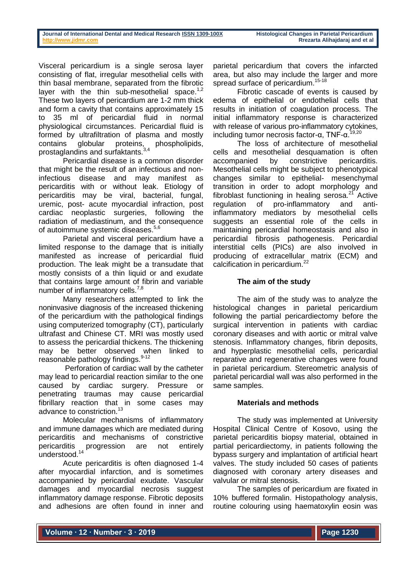Visceral pericardium is a single serosa layer consisting of flat, irregular mesothelial cells with thin basal membrane, separated from the fibrotic layer with the thin sub-mesothelial space.<sup>1,2</sup> These two layers of pericardium are 1-2 mm thick and form a cavity that contains approximately 15 to 35 ml of pericardial fluid in normal physiological circumstances. Pericardial fluid is formed by ultrafiltration of plasma and mostly contains globular proteins, phospholipids, prostaglandins and surfaktants.<sup>3,4</sup>

Pericardial disease is a common disorder that might be the result of an infectious and noninfectious disease and may manifest as pericarditis with or without leak. Etiology of pericarditis may be viral, bacterial, fungal, uremic, post- acute myocardial infraction, post cardiac neoplastic surgeries, following the radiation of mediastinum, and the consequence of autoimmune systemic diseases.<sup>5,6</sup>

Parietal and visceral pericardium have a limited response to the damage that is initially manifested as increase of pericardial fluid production. The leak might be a transudate that mostly consists of a thin liquid or and exudate that contains large amount of fibrin and variable number of inflammatory cells.<sup>7,8</sup>

Many researchers attempted to link the noninvasive diagnosis of the increased thickening of the pericardium with the pathological findings using computerized tomography (CT), particularly ultrafast and Chinese CT. MRI was mostly used to assess the pericardial thickens. The thickening may be better observed when linked to reasonable pathology findings.<sup>9-12</sup>

Perforation of cardiac wall by the catheter may lead to pericardial reaction similar to the one caused by cardiac surgery. Pressure or penetrating traumas may cause pericardial fibrillary reaction that in some cases may advance to constriction.<sup>13</sup>

Molecular mechanisms of inflammatory and immune damages which are mediated during pericarditis and mechanisms of constrictive pericarditis progression are not entirely understood.<sup>14</sup>

Acute pericarditis is often diagnosed 1-4 after myocardial infarction, and is sometimes accompanied by pericardial exudate. Vascular damages and myocardial necrosis suggest inflammatory damage response. Fibrotic deposits and adhesions are often found in inner and

parietal pericardium that covers the infarcted area, but also may include the larger and more spread surface of pericardium.<sup>15-18</sup>

Fibrotic cascade of events is caused by edema of epithelial or endothelial cells that results in initiation of coagulation process. The initial inflammatory response is characterized with release of various pro-inflammatory cytokines. including tumor necrosis factor-α,  $TNF$ -α.<sup>19,20</sup>

The loss of architecture of mesothelial cells and mesothelial desquamation is often accompanied by constrictive pericarditis. Mesothelial cells might be subject to phenotypical changes similar to epithelial- mesenchymal transition in order to adopt morphology and fibroblast functioning in healing serosa. $2<sup>7</sup>$  Active regulation of pro-inflammatory and antiinflammatory mediators by mesothelial cells suggests an essential role of the cells in maintaining pericardial homeostasis and also in pericardial fibrosis pathogenesis. Pericardial interstitial cells (PICs) are also involved in producing of extracellular matrix (ECM) and calcification in pericardium.<sup>22</sup>

# **The aim of the study**

The aim of the study was to analyze the histological changes in parietal pericardium following the partial pericardiectomy before the surgical intervention in patients with cardiac coronary diseases and with aortic or mitral valve stenosis. Inflammatory changes, fibrin deposits, and hyperplastic mesothelial cells, pericardial reparative and regenerative changes were found in parietal pericardium. Stereometric analysis of parietal pericardial wall was also performed in the same samples.

# **Materials and methods**

The study was implemented at University Hospital Clinical Centre of Kosovo, using the parietal pericarditis biopsy material, obtained in partial pericardiectomy, in patients following the bypass surgery and implantation of artificial heart valves. The study included 50 cases of patients diagnosed with coronary artery diseases and valvular or mitral stenosis.

The samples of pericardium are fixated in 10% buffered formalin. Histopathology analysis, routine colouring using haematoxylin eosin was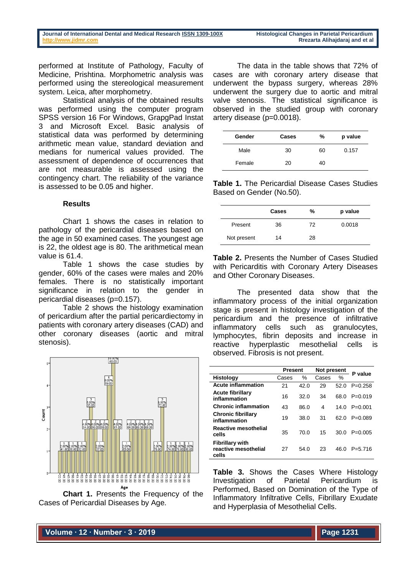performed at Institute of Pathology, Faculty of Medicine, Prishtina. Morphometric analysis was performed using the stereological measurement system. Leica, after morphometry.

Statistical analysis of the obtained results was performed using the computer program SPSS version 16 For Windows, GrapgPad Instat 3 and Microsoft Excel. Basic analysis of statistical data was performed by determining arithmetic mean value, standard deviation and medians for numerical values provided. The assessment of dependence of occurrences that are not measurable is assessed using the contingency chart. The reliability of the variance is assessed to be 0.05 and higher.

## **Results**

Chart 1 shows the cases in relation to pathology of the pericardial diseases based on the age in 50 examined cases. The youngest age is 22, the oldest age is 80. The arithmetical mean value is 61.4.

Table 1 shows the case studies by gender, 60% of the cases were males and 20% females. There is no statistically important significance in relation to the gender in pericardial diseases (p=0.157).

Table 2 shows the histology examination of pericardium after the partial pericardiectomy in patients with coronary artery diseases (CAD) and other coronary diseases (aortic and mitral stenosis).





The data in the table shows that 72% of cases are with coronary artery disease that underwent the bypass surgery, whereas 28% underwent the surgery due to aortic and mitral valve stenosis. The statistical significance is observed in the studied group with coronary artery disease (p=0.0018).

| Gender | Cases | %  | p value |
|--------|-------|----|---------|
| Male   | 30    | 60 | 0.157   |
| Female | 20    | 40 |         |

**Table 1.** The Pericardial Disease Cases Studies Based on Gender (No.50).

|             | Cases | %  | p value |
|-------------|-------|----|---------|
| Present     | 36    | 72 | 0.0018  |
| Not present | 14    | 28 |         |

**Table 2.** Presents the Number of Cases Studied with Pericarditis with Coronary Artery Diseases and Other Coronary Diseases.

The presented data show that the inflammatory process of the initial organization stage is present in histology investigation of the pericardium and the presence of infiltrative inflammatory cells such as granulocytes, lymphocytes, fibrin deposits and increase in reactive hyperplastic mesothelial cells is observed. Fibrosis is not present.

|                                                         | <b>Present</b> |      | Not present |      | P value     |
|---------------------------------------------------------|----------------|------|-------------|------|-------------|
| <b>Histology</b>                                        | Cases          | $\%$ | Cases       | ℅    |             |
| <b>Acute inflammation</b>                               | 21             | 42.0 | 29          | 52.0 | $P=0.258$   |
| <b>Acute fibrillary</b><br>inflammation                 | 16             | 32.0 | 34          | 68.0 | $P = 0.019$ |
| <b>Chronic inflammation</b>                             | 43             | 86.0 | 4           | 14.0 | $P = 0.001$ |
| <b>Chronic fibrillary</b><br>inflammation               | 19             | 38.0 | 31          | 62.0 | $P = 0.089$ |
| <b>Reactive mesothelial</b><br>cells                    | 35             | 70.0 | 15          | 30.0 | $P = 0.005$ |
| <b>Fibrillary with</b><br>reactive mesothelial<br>cells | 27             | 54.0 | 23          | 46.0 | $P = 5.716$ |

**Table 3.** Shows the Cases Where Histology Investigation of Parietal Pericardium is Performed, Based on Domination of the Type of Inflammatory Infiltrative Cells, Fibrillary Exudate and Hyperplasia of Mesothelial Cells.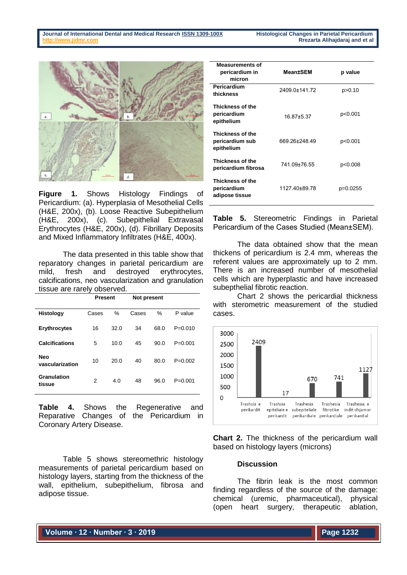

**Figure 1.** Shows Histology Findings of Pericardium: (a). Hyperplasia of Mesothelial Cells (H&E, 200x), (b). Loose Reactive Subepithelium (H&E, 200x), (c). Subepithelial Extravasal Erythrocytes (H&E, 200x), (d). Fibrillary Deposits and Mixed Inflammatory Infiltrates (H&E, 400x).

The data presented in this table show that reparatory changes in parietal pericardium are mild, fresh and destroyed erythrocytes, calcifications, neo vascularization and granulation tissue are rarely observed.

|                               | <b>Present</b> |               | Not present |      |             |
|-------------------------------|----------------|---------------|-------------|------|-------------|
| <b>Histology</b>              | Cases          | $\frac{0}{0}$ | Cases       | %    | P value     |
| <b>Erythrocytes</b>           | 16             | 32.0          | 34          | 68.0 | $P = 0.010$ |
| <b>Calcifications</b>         | 5              | 10.0          | 45          | 90.0 | $P = 0.001$ |
| <b>Neo</b><br>vascularization | 10             | 20.0          | 40          | 80.0 | $P=0.002$   |
| Granulation<br>tissue         | 2              | 4.0           | 48          | 96.0 | $P = 0.001$ |

**Table 4.** Shows the Regenerative and Reparative Changes of the Pericardium in Coronary Artery Disease.

Table 5 shows stereomethric histology measurements of parietal pericardium based on histology layers, starting from the thickness of the wall, epithelium, subepithelium, fibrosa and adipose tissue.

| <b>Measurements of</b><br>pericardium in<br>micron | <b>Mean±SEM</b>  | p value  |
|----------------------------------------------------|------------------|----------|
| Pericardium<br>thickness                           | 2409.0±141.72    | p>0.10   |
| Thickness of the<br>pericardium<br>epithelium      | $16.87 \pm 5.37$ | p<0.001  |
| Thickness of the<br>pericardium sub<br>epithelium  | 669.26±248.49    | p<0.001  |
| Thickness of the<br>pericardium fibrosa            | 741.09±76.55     | p<0.008  |
| Thickness of the<br>pericardium<br>adipose tissue  | 1127.40±89.78    | p=0.0255 |

**Table 5.** Stereometric Findings in Parietal Pericardium of the Cases Studied (Mean±SEM).

The data obtained show that the mean thickens of pericardium is 2.4 mm, whereas the referent values are approximately up to 2 mm. There is an increased number of mesothelial cells which are hyperplastic and have increased subepthelial fibrotic reaction.

Chart 2 shows the pericardial thickness with sterometric measurement of the studied cases.



**Chart 2.** The thickness of the pericardium wall based on histology layers (microns)

#### **Discussion**

The fibrin leak is the most common finding regardless of the source of the damage: chemical (uremic, pharmaceutical), physical (open heart surgery, therapeutic ablation,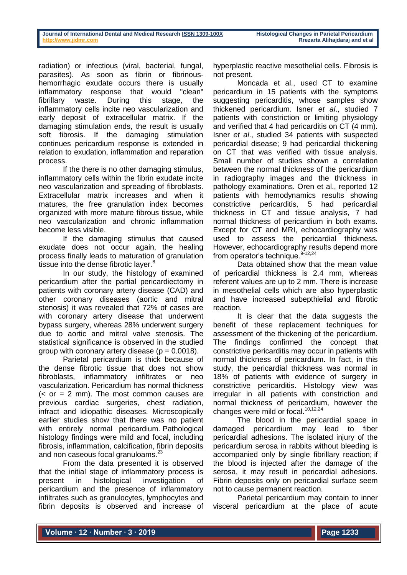radiation) or infectious (viral, bacterial, fungal, parasites). As soon as fibrin or fibrinoushemorrhagic exudate occurs there is usually inflammatory response that would "clean" fibrillary waste. During this stage, the inflammatory cells incite neo vascularization and early deposit of extracellular matrix. If the damaging stimulation ends, the result is usually soft fibrosis. If the damaging stimulation continues pericardium response is extended in relation to exudation, inflammation and reparation process.

If the there is no other damaging stimulus, inflammatory cells within the fibrin exudate incite neo vascularization and spreading of fibroblasts. Extracellular matrix increases and when it matures, the free granulation index becomes organized with more mature fibrous tissue, while neo vascularization and chronic inflammation become less visible.

If the damaging stimulus that caused exudate does not occur again, the healing process finally leads to maturation of granulation tissue into the dense fibrotic layer.<sup>8</sup>

In our study, the histology of examined pericardium after the partial pericardiectomy in patients with coronary artery disease (CAD) and other coronary diseases (aortic and mitral stenosis) it was revealed that 72% of cases are with coronary artery disease that underwent bypass surgery, whereas 28% underwent surgery due to aortic and mitral valve stenosis. The statistical significance is observed in the studied group with coronary artery disease ( $p = 0.0018$ ).

Parietal pericardium is thick because of the dense fibrotic tissue that does not show fibroblasts, inflammatory infiltrates or neo vascularization. Pericardium has normal thickness  $( $or = 2$  mm). The most common causes are$ previous cardiac surgeries, chest radiation, infract and idiopathic diseases. Microscopically earlier studies show that there was no patient with entirely normal pericardium. Pathological histology findings were mild and focal, including fibrosis, inflammation, calcification, fibrin deposits and non caseous focal granuloams.<sup>23</sup>

From the data presented it is observed that the initial stage of inflammatory process is present in histological investigation of pericardium and the presence of inflammatory infiltrates such as granulocytes, lymphocytes and fibrin deposits is observed and increase of hyperplastic reactive mesothelial cells. Fibrosis is not present.

Moncada et al., used CT to examine pericardium in 15 patients with the symptoms suggesting pericarditis, whose samples show thickened pericardium. Isner *et al*., studied 7 patients with constriction or limiting physiology and verified that 4 had pericarditis on CT (4 mm). Isner *et al*., studied 34 patients with suspected pericardial disease; 9 had pericardial thickening on CT that was verified with tissue analysis. Small number of studies shown a correlation between the normal thickness of the pericardium in radiography images and the thickness in pathology examinations. Oren et al., reported 12 patients with hemodynamics results showing constrictive pericarditis, 5 had pericardial thickness in CT and tissue analysis, 7 had normal thickness of pericardium in both exams. Except for CT and MRI, echocardiography was used to assess the pericardial thickness. However, echocardiography results depend more from operator's technique. 9-12,24

Data obtained show that the mean value of pericardial thickness is 2.4 mm, whereas referent values are up to 2 mm. There is increase in mesothelial cells which are also hyperplastic and have increased subepthielial and fibrotic reaction.

It is clear that the data suggests the benefit of these replacement techniques for assessment of the thickening of the pericardium. The findings confirmed the concept that constrictive pericarditis may occur in patients with normal thickness of pericardium. In fact, in this study, the pericardial thickness was normal in 18% of patients with evidence of surgery in constrictive pericarditis. Histology view was irregular in all patients with constriction and normal thickness of pericardium, however the changes were mild or focal.<sup>10,12,24</sup>

The blood in the pericardial space in damaged pericardium may lead to fiber pericardial adhesions. The isolated injury of the pericardium serosa in rabbits without bleeding is accompanied only by single fibrillary reaction; if the blood is injected after the damage of the serosa, it may result in pericardial adhesions. Fibrin deposits only on pericardial surface seem not to cause permanent reaction.

Parietal pericardium may contain to inner visceral pericardium at the place of acute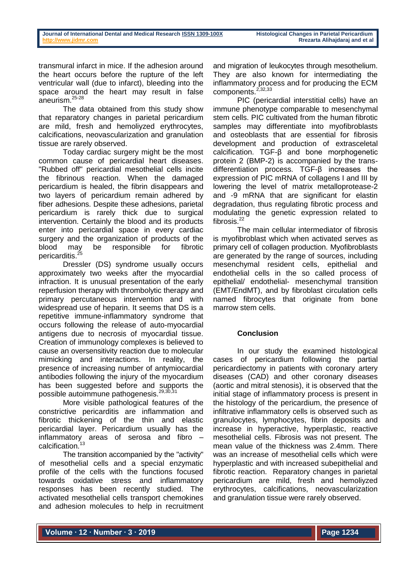transmural infarct in mice. If the adhesion around the heart occurs before the rupture of the left ventricular wall (due to infarct), bleeding into the space around the heart may result in false aneurism.25-28

The data obtained from this study show that reparatory changes in parietal pericardium are mild, fresh and hemoliyzed erythrocytes, calcifications, neovascularization and granulation tissue are rarely observed.

Today cardiac surgery might be the most common cause of pericardial heart diseases. "Rubbed off" pericardial mesothelial cells incite the fibrinous reaction. When the damaged pericardium is healed, the fibrin disappears and two layers of pericardium remain adhered by fiber adhesions. Despite these adhesions, parietal pericardium is rarely thick due to surgical intervention. Certainly the blood and its products enter into pericardial space in every cardiac surgery and the organization of products of the blood may be responsible for fibrotic pericarditis.<sup>25</sup>

Dressler (DS) syndrome usually occurs approximately two weeks after the myocardial infraction. It is unusual presentation of the early reperfusion therapy with thrombolytic therapy and primary percutaneous intervention and with widespread use of heparin. It seems that DS is a repetitive immune-inflammatory syndrome that occurs following the release of auto-myocardial antigens due to necrosis of myocardial tissue. Creation of immunology complexes is believed to cause an oversensitivity reaction due to molecular mimicking and interactions. In reality, the presence of increasing number of antymiocardial antibodies following the injury of the myocardium has been suggested before and supports the possible autoimmune pathogenesis.<sup>29,30,31</sup>

More visible pathological features of the constrictive pericarditis are inflammation and fibrotic thickening of the thin and elastic pericardial layer. Pericardium usually has the inflammatory areas of serosa and fibro – calcification.<sup>13</sup>

The transition accompanied by the "activity" of mesothelial cells and a special enzymatic profile of the cells with the functions focused towards oxidative stress and inflammatory responses has been recently studied. The activated mesothelial cells transport chemokines and adhesion molecules to help in recruitment

and migration of leukocytes through mesothelium. They are also known for intermediating the inflammatory process and for producing the ECM components.<sup>2,32,33</sup>

PIC (pericardial interstitial cells) have an immune phenotype comparable to mesenchymal stem cells. PIC cultivated from the human fibrotic samples may differentiate into myofibroblasts and osteoblasts that are essential for fibrosis development and production of extrasceletal calcification. TGF-β and bone morphogenetic protein 2 (BMP-2) is accompanied by the transdifferentiation process. TGF-β increases the expression of PIC mRNA of collagens I and III by lowering the level of matrix metalloprotease-2 and -9 mRNA that are significant for elastin degradation, thus regulating fibrotic process and modulating the genetic expression related to fibrosis. $^{22}$ 

The main cellular intermediator of fibrosis is myofibroblast which when activated serves as primary cell of collagen production. Myofibroblasts are generated by the range of sources, including mesenchymal resident cells, epithelial and endothelial cells in the so called process of epithelial/ endothelial- mesenchymal transition (EMT/EndMT), and by fibroblast circulation cells named fibrocytes that originate from bone marrow stem cells.

## **Conclusion**

In our study the examined histological cases of pericardium following the partial pericardiectomy in patients with coronary artery diseases (CAD) and other coronary diseases (aortic and mitral stenosis), it is observed that the initial stage of inflammatory process is present in the histology of the pericardium, the presence of infiltrative inflammatory cells is observed such as granulocytes, lymphocytes, fibrin deposits and increase in hyperactive, hyperplastic, reactive mesothelial cells. Fibrosis was not present. The mean value of the thickness was 2.4mm. There was an increase of mesothelial cells which were hyperplastic and with increased subepithelial and fibrotic reaction. Reparatory changes in parietal pericardium are mild, fresh and hemoliyzed erythrocytes, calcifications, neovascularization and granulation tissue were rarely observed.